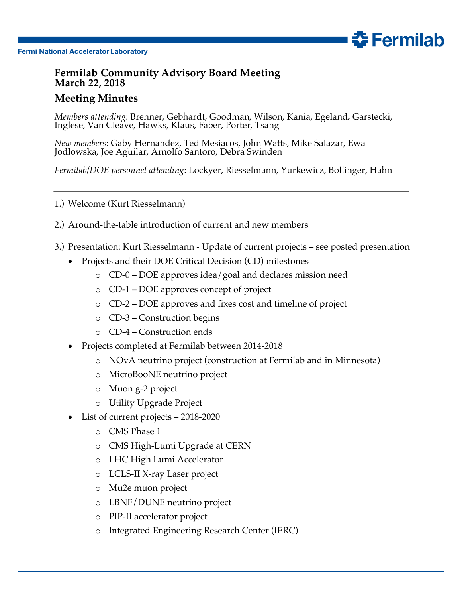

## **Fermilab Community Advisory Board Meeting March 22, 2018**

## **Meeting Minutes**

*Members attending*: Brenner, Gebhardt, Goodman, Wilson, Kania, Egeland, Garstecki, Inglese, Van Cleave, Hawks, Klaus, Faber, Porter, Tsang

**춘Fermilab** 

*New members*: Gaby Hernandez, Ted Mesiacos, John Watts, Mike Salazar, Ewa Jodlowska, Joe Aguilar, Arnolfo Santoro, Debra Swinden

*Fermilab/DOE personnel attending*: Lockyer, Riesselmann, Yurkewicz, Bollinger, Hahn

- 1.) Welcome (Kurt Riesselmann)
- 2.) Around-the-table introduction of current and new members
- 3.) Presentation: Kurt Riesselmann Update of current projects see posted presentation
	- Projects and their DOE Critical Decision (CD) milestones
		- o CD-0 DOE approves idea/goal and declares mission need
		- o CD-1 DOE approves concept of project
		- o CD-2 DOE approves and fixes cost and timeline of project
		- o CD-3 Construction begins
		- o CD-4 Construction ends
	- Projects completed at Fermilab between 2014-2018
		- o NOvA neutrino project (construction at Fermilab and in Minnesota)
		- o MicroBooNE neutrino project
		- o Muon g-2 project
		- o Utility Upgrade Project
	- List of current projects 2018-2020
		- o CMS Phase 1
		- o CMS High-Lumi Upgrade at CERN
		- o LHC High Lumi Accelerator
		- o LCLS-II X-ray Laser project
		- o Mu2e muon project
		- o LBNF/DUNE neutrino project
		- o PIP-II accelerator project
		- o Integrated Engineering Research Center (IERC)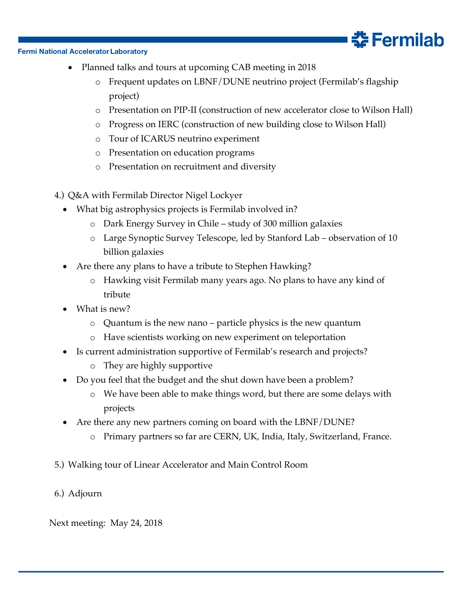## **Fermi National Accelerator Laboratory**

- Planned talks and tours at upcoming CAB meeting in 2018
	- o Frequent updates on LBNF/DUNE neutrino project (Fermilab's flagship project)
	- o Presentation on PIP-II (construction of new accelerator close to Wilson Hall)

춮 Fermilab

- o Progress on IERC (construction of new building close to Wilson Hall)
- o Tour of ICARUS neutrino experiment
- o Presentation on education programs
- o Presentation on recruitment and diversity
- 4.) Q&A with Fermilab Director Nigel Lockyer
	- What big astrophysics projects is Fermilab involved in?
		- o Dark Energy Survey in Chile study of 300 million galaxies
		- o Large Synoptic Survey Telescope, led by Stanford Lab observation of 10 billion galaxies
	- Are there any plans to have a tribute to Stephen Hawking?
		- o Hawking visit Fermilab many years ago. No plans to have any kind of tribute
	- What is new?
		- o Quantum is the new nano particle physics is the new quantum
		- o Have scientists working on new experiment on teleportation
	- Is current administration supportive of Fermilab's research and projects?
		- o They are highly supportive
	- Do you feel that the budget and the shut down have been a problem?
		- o We have been able to make things word, but there are some delays with projects
	- Are there any new partners coming on board with the LBNF/DUNE?
		- o Primary partners so far are CERN, UK, India, Italy, Switzerland, France.
- 5.) Walking tour of Linear Accelerator and Main Control Room
- 6.) Adjourn

Next meeting: May 24, 2018